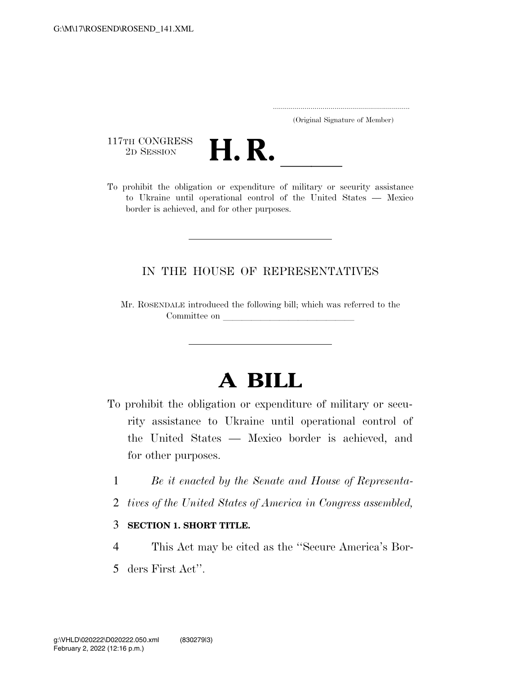..................................................................... (Original Signature of Member)

117TH CONGRESS<br>2D SESSION



117TH CONGRESS<br>
2D SESSION<br>
To prohibit the obligation or expenditure of military or security assistance to Ukraine until operational control of the United States — Mexico border is achieved, and for other purposes.

## IN THE HOUSE OF REPRESENTATIVES

Mr. ROSENDALE introduced the following bill; which was referred to the Committee on

## **A BILL**

- To prohibit the obligation or expenditure of military or security assistance to Ukraine until operational control of the United States — Mexico border is achieved, and for other purposes.
	- 1 *Be it enacted by the Senate and House of Representa-*
	- 2 *tives of the United States of America in Congress assembled,*
	- 3 **SECTION 1. SHORT TITLE.**
- 4 This Act may be cited as the ''Secure America's Bor-
- 5 ders First Act''.